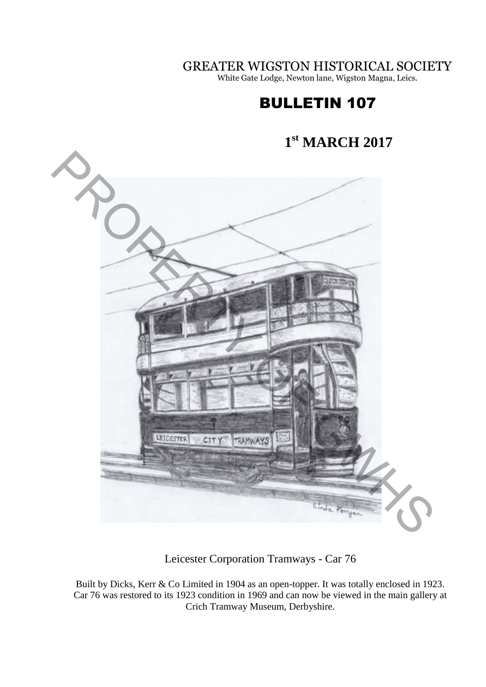GREATER WIGSTON HISTORICAL SOCIETY

White Gate Lodge, Newton lane, Wigston Magna, Leics.

# BULLETIN 107

#### **1 st MARCH 2017**



Leicester Corporation Tramways - Car 76

Built by Dicks, Kerr & Co Limited in 1904 as an open-topper. It was totally enclosed in 1923. Car 76 was restored to its 1923 condition in 1969 and can now be viewed in the main gallery at Crich Tramway Museum, Derbyshire.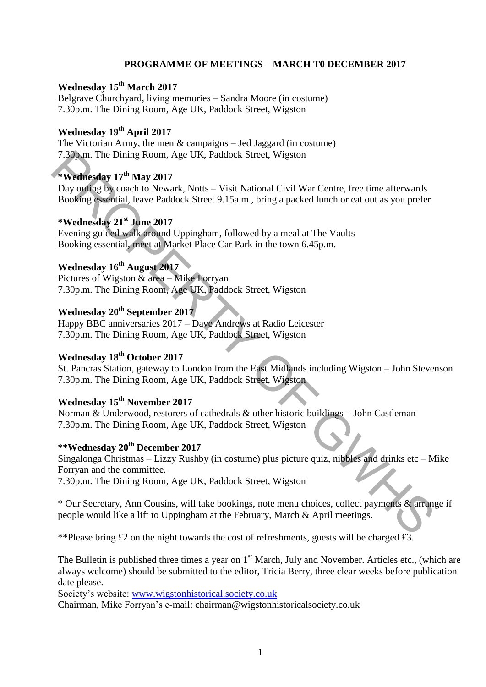### **PROGRAMME OF MEETINGS – MARCH T0 DECEMBER 2017**

### **Wednesday 15 th March 2017**

Belgrave Churchyard, living memories – Sandra Moore (in costume) 7.30p.m. The Dining Room, Age UK, Paddock Street, Wigston

### **Wednesday 19th April 2017**

The Victorian Army, the men & campaigns – Jed Jaggard (in costume) 7.30p.m. The Dining Room, Age UK, Paddock Street, Wigston

# **\*Wednesday 17th May 2017**

Day outing by coach to Newark, Notts – Visit National Civil War Centre, free time afterwards Booking essential, leave Paddock Street 9.15a.m., bring a packed lunch or eat out as you prefer

### **\*Wednesday 21st June 2017**

Evening guided walk around Uppingham, followed by a meal at The Vaults Booking essential, meet at Market Place Car Park in the town 6.45p.m.

# **Wednesday 16th August 2017**

Pictures of Wigston & area – Mike Forryan 7.30p.m. The Dining Room, Age UK, Paddock Street, Wigston

# **Wednesday 20th September 2017**

Happy BBC anniversaries 2017 – Dave Andrews at Radio Leicester 7.30p.m. The Dining Room, Age UK, Paddock Street, Wigston

# **Wednesday 18th October 2017**

St. Pancras Station, gateway to London from the East Midlands including Wigston – John Stevenson 7.30p.m. The Dining Room, Age UK, Paddock Street, Wigston

### **Wednesday 15th November 2017**

Norman & Underwood, restorers of cathedrals & other historic buildings – John Castleman 7.30p.m. The Dining Room, Age UK, Paddock Street, Wigston

# **\*\*Wednesday 20th December 2017**

Singalonga Christmas – Lizzy Rushby (in costume) plus picture quiz, nibbles and drinks etc – Mike Forryan and the committee. 7.30p.m. The Dining Room. Age UK, Paddock Street, Wigston<br>
<sup>4</sup>Neddnegday 17<sup>th</sup> May 2017<br>
<sup>4</sup>Neddnegday 17<sup>th</sup> May 2017<br>
Booking essential, leave Paddock Street 9.15a.m., bring a packed lunch or eat out as you prefer<br>
<sup>4</sup>

7.30p.m. The Dining Room, Age UK, Paddock Street, Wigston

\* Our Secretary, Ann Cousins, will take bookings, note menu choices, collect payments & arrange if people would like a lift to Uppingham at the February, March & April meetings.

\*\*Please bring £2 on the night towards the cost of refreshments, guests will be charged £3.

The Bulletin is published three times a year on  $1<sup>st</sup>$  March, July and November. Articles etc., (which are always welcome) should be submitted to the editor, Tricia Berry, three clear weeks before publication date please.

Society's website: [www.wigstonhistorical.society.co.uk](http://www.wigstonhistorical.society.co.uk/)

Chairman, Mike Forryan's e-mail: chairman@wigstonhistoricalsociety.co.uk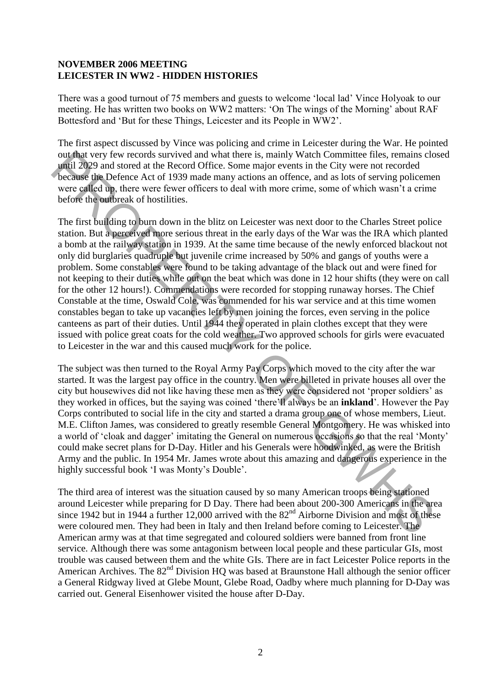#### **NOVEMBER 2006 MEETING LEICESTER IN WW2 - HIDDEN HISTORIES**

There was a good turnout of 75 members and guests to welcome 'local lad' Vince Holyoak to our meeting. He has written two books on WW2 matters: 'On The wings of the Morning' about RAF Bottesford and 'But for these Things, Leicester and its People in WW2'.

The first aspect discussed by Vince was policing and crime in Leicester during the War. He pointed out that very few records survived and what there is, mainly Watch Committee files, remains closed until 2029 and stored at the Record Office. Some major events in the City were not recorded because the Defence Act of 1939 made many actions an offence, and as lots of serving policemen were called up, there were fewer officers to deal with more crime, some of which wasn't a crime before the outbreak of hostilities.

The first building to burn down in the blitz on Leicester was next door to the Charles Street police station. But a perceived more serious threat in the early days of the War was the IRA which planted a bomb at the railway station in 1939. At the same time because of the newly enforced blackout not only did burglaries quadruple but juvenile crime increased by 50% and gangs of youths were a problem. Some constables were found to be taking advantage of the black out and were fined for not keeping to their duties while out on the beat which was done in 12 hour shifts (they were on call for the other 12 hours!). Commendations were recorded for stopping runaway horses. The Chief Constable at the time, Oswald Cole, was commended for his war service and at this time women constables began to take up vacancies left by men joining the forces, even serving in the police canteens as part of their duties. Until 1944 they operated in plain clothes except that they were issued with police great coats for the cold weather. Two approved schools for girls were evacuated to Leicester in the war and this caused much work for the police. out that very few records survived and what there is, mainly Watch Committee files, remains consumed to sure the second with the second because the DeFice Act of 1939 mad stored were differed and subsor for the coronal be

The subject was then turned to the Royal Army Pay Corps which moved to the city after the war started. It was the largest pay office in the country. Men were billeted in private houses all over the city but housewives did not like having these men as they were considered not 'proper soldiers' as they worked in offices, but the saying was coined 'there'll always be an **inkland**'. However the Pay Corps contributed to social life in the city and started a drama group one of whose members, Lieut. M.E. Clifton James, was considered to greatly resemble General Montgomery. He was whisked into a world of 'cloak and dagger' imitating the General on numerous occasions so that the real 'Monty' could make secret plans for D-Day. Hitler and his Generals were hoodwinked, as were the British Army and the public. In 1954 Mr. James wrote about this amazing and dangerous experience in the highly successful book 'I was Monty's Double'.

The third area of interest was the situation caused by so many American troops being stationed around Leicester while preparing for D Day. There had been about 200-300 Americans in the area since 1942 but in 1944 a further 12,000 arrived with the  $82<sup>nd</sup>$  Airborne Division and most of these were coloured men. They had been in Italy and then Ireland before coming to Leicester. The American army was at that time segregated and coloured soldiers were banned from front line service. Although there was some antagonism between local people and these particular GIs, most trouble was caused between them and the white GIs. There are in fact Leicester Police reports in the American Archives. The 82<sup>nd</sup> Division HQ was based at Braunstone Hall although the senior officer a General Ridgway lived at Glebe Mount, Glebe Road, Oadby where much planning for D-Day was carried out. General Eisenhower visited the house after D-Day.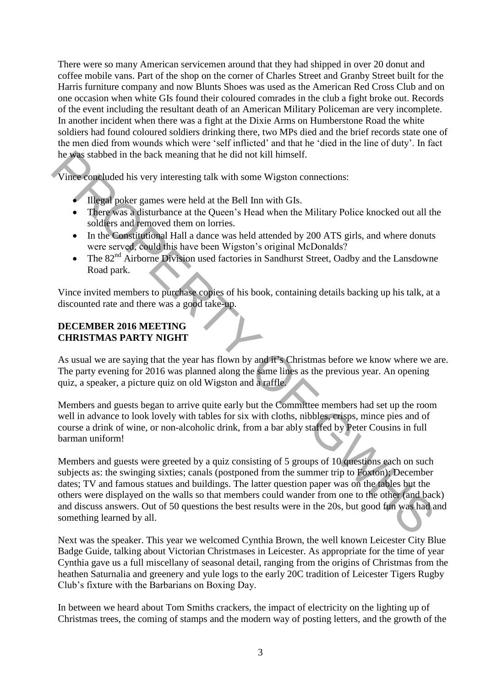There were so many American servicemen around that they had shipped in over 20 donut and coffee mobile vans. Part of the shop on the corner of Charles Street and Granby Street built for the Harris furniture company and now Blunts Shoes was used as the American Red Cross Club and on one occasion when white GIs found their coloured comrades in the club a fight broke out. Records of the event including the resultant death of an American Military Policeman are very incomplete. In another incident when there was a fight at the Dixie Arms on Humberstone Road the white soldiers had found coloured soldiers drinking there, two MPs died and the brief records state one of the men died from wounds which were 'self inflicted' and that he 'died in the line of duty'. In fact he was stabbed in the back meaning that he did not kill himself.

Vince concluded his very interesting talk with some Wigston connections:

- Illegal poker games were held at the Bell Inn with GIs.
- There was a disturbance at the Queen's Head when the Military Police knocked out all the soldiers and removed them on lorries.
- In the Constitutional Hall a dance was held attended by 200 ATS girls, and where donuts were served, could this have been Wigston's original McDonalds?
- The  $82<sup>nd</sup>$  Airborne Division used factories in Sandhurst Street, Oadby and the Lansdowne Road park.

Vince invited members to purchase copies of his book, containing details backing up his talk, at a discounted rate and there was a good take-up.

#### **DECEMBER 2016 MEETING CHRISTMAS PARTY NIGHT**

As usual we are saying that the year has flown by and it's Christmas before we know where we are. The party evening for 2016 was planned along the same lines as the previous year. An opening quiz, a speaker, a picture quiz on old Wigston and a raffle.

Members and guests began to arrive quite early but the Committee members had set up the room well in advance to look lovely with tables for six with cloths, nibbles, crisps, mince pies and of course a drink of wine, or non-alcoholic drink, from a bar ably staffed by Peter Cousins in full barman uniform!

Members and guests were greeted by a quiz consisting of 5 groups of 10 questions each on such subjects as: the swinging sixties; canals (postponed from the summer trip to Foxton); December dates; TV and famous statues and buildings. The latter question paper was on the tables but the others were displayed on the walls so that members could wander from one to the other (and back) and discuss answers. Out of 50 questions the best results were in the 20s, but good fun was had and something learned by all. In the back meaning that he did not kill himself.<br>
Vince concluded his very interesting talk with some Wigston connections:<br>
The example poker games were held at the Bell Inn with GIs.<br>
The rewars adistrational field the B

Next was the speaker. This year we welcomed Cynthia Brown, the well known Leicester City Blue Badge Guide, talking about Victorian Christmases in Leicester. As appropriate for the time of year Cynthia gave us a full miscellany of seasonal detail, ranging from the origins of Christmas from the heathen Saturnalia and greenery and yule logs to the early 20C tradition of Leicester Tigers Rugby Club's fixture with the Barbarians on Boxing Day.

In between we heard about Tom Smiths crackers, the impact of electricity on the lighting up of Christmas trees, the coming of stamps and the modern way of posting letters, and the growth of the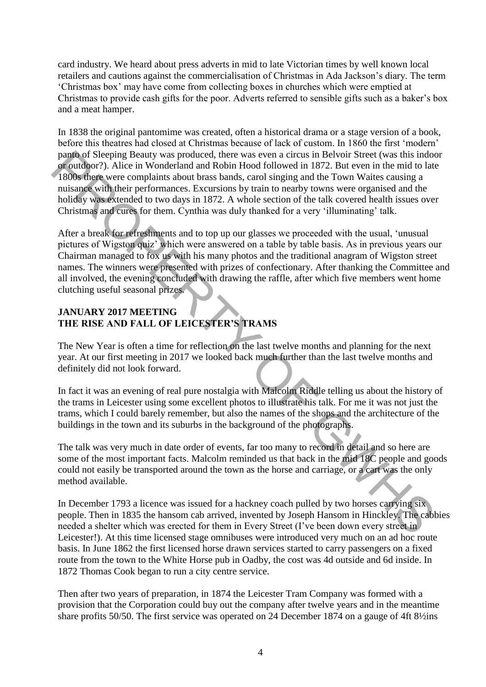card industry. We heard about press adverts in mid to late Victorian times by well known local retailers and cautions against the commercialisation of Christmas in Ada Jackson's diary. The term 'Christmas box' may have come from collecting boxes in churches which were emptied at Christmas to provide cash gifts for the poor. Adverts referred to sensible gifts such as a baker's box and a meat hamper.

In 1838 the original pantomime was created, often a historical drama or a stage version of a book, before this theatres had closed at Christmas because of lack of custom. In 1860 the first 'modern' panto of Sleeping Beauty was produced, there was even a circus in Belvoir Street (was this indoor or outdoor?). Alice in Wonderland and Robin Hood followed in 1872. But even in the mid to late 1800s there were complaints about brass bands, carol singing and the Town Waites causing a nuisance with their performances. Excursions by train to nearby towns were organised and the holiday was extended to two days in 1872. A whole section of the talk covered health issues over Christmas and cures for them. Cynthia was duly thanked for a very 'illuminating' talk.

After a break for refreshments and to top up our glasses we proceeded with the usual, 'unusual pictures of Wigston quiz' which were answered on a table by table basis. As in previous years our Chairman managed to fox us with his many photos and the traditional anagram of Wigston street names. The winners were presented with prizes of confectionary. After thanking the Committee and all involved, the evening concluded with drawing the raffle, after which five members went home clutching useful seasonal prizes. pany of Sleeping Beauty was produced, there was even a circus in Belvoir Street (was this indo<br>not outdoor?). Alice in Wonderland and Robin Hood followed in 1872. But even in the mid to late<br>of outdoor?). Alice in Wonderl

### **JANUARY 2017 MEETING THE RISE AND FALL OF LEICESTER'S TRAMS**

The New Year is often a time for reflection on the last twelve months and planning for the next year. At our first meeting in 2017 we looked back much further than the last twelve months and definitely did not look forward.

In fact it was an evening of real pure nostalgia with Malcolm Riddle telling us about the history of the trams in Leicester using some excellent photos to illustrate his talk. For me it was not just the trams, which I could barely remember, but also the names of the shops and the architecture of the buildings in the town and its suburbs in the background of the photographs.

The talk was very much in date order of events, far too many to record in detail and so here are some of the most important facts. Malcolm reminded us that back in the mid 18C people and goods could not easily be transported around the town as the horse and carriage, or a cart was the only method available.

In December 1793 a licence was issued for a hackney coach pulled by two horses carrying six people. Then in 1835 the hansom cab arrived, invented by Joseph Hansom in Hinckley. The cabbies needed a shelter which was erected for them in Every Street (I've been down every street in Leicester!). At this time licensed stage omnibuses were introduced very much on an ad hoc route basis. In June 1862 the first licensed horse drawn services started to carry passengers on a fixed route from the town to the White Horse pub in Oadby, the cost was 4d outside and 6d inside. In 1872 Thomas Cook began to run a city centre service.

Then after two years of preparation, in 1874 the Leicester Tram Company was formed with a provision that the Corporation could buy out the company after twelve years and in the meantime share profits 50/50. The first service was operated on 24 December 1874 on a gauge of 4ft 8½ins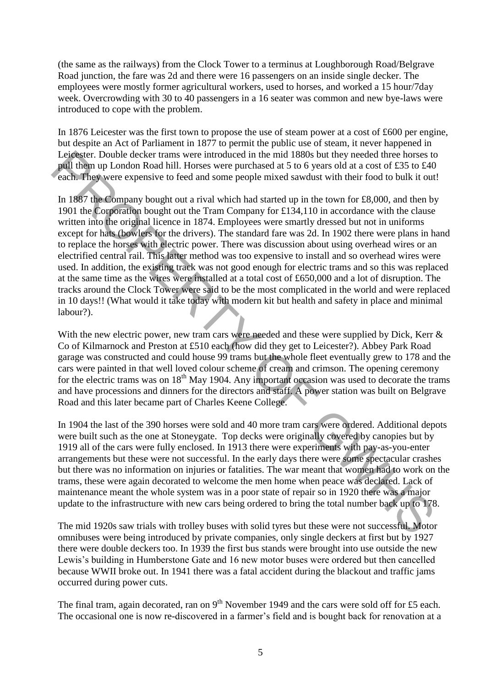(the same as the railways) from the Clock Tower to a terminus at Loughborough Road/Belgrave Road junction, the fare was 2d and there were 16 passengers on an inside single decker. The employees were mostly former agricultural workers, used to horses, and worked a 15 hour/7day week. Overcrowding with 30 to 40 passengers in a 16 seater was common and new bye-laws were introduced to cope with the problem.

In 1876 Leicester was the first town to propose the use of steam power at a cost of £600 per engine, but despite an Act of Parliament in 1877 to permit the public use of steam, it never happened in Leicester. Double decker trams were introduced in the mid 1880s but they needed three horses to pull them up London Road hill. Horses were purchased at 5 to 6 years old at a cost of £35 to £40 each. They were expensive to feed and some people mixed sawdust with their food to bulk it out!

In 1887 the Company bought out a rival which had started up in the town for  $\text{\pounds}8,000$ , and then by 1901 the Corporation bought out the Tram Company for £134,110 in accordance with the clause written into the original licence in 1874. Employees were smartly dressed but not in uniforms except for hats (bowlers for the drivers). The standard fare was 2d. In 1902 there were plans in hand to replace the horses with electric power. There was discussion about using overhead wires or an electrified central rail. This latter method was too expensive to install and so overhead wires were used. In addition, the existing track was not good enough for electric trams and so this was replaced at the same time as the wires were installed at a total cost of £650,000 and a lot of disruption. The tracks around the Clock Tower were said to be the most complicated in the world and were replaced in 10 days!! (What would it take today with modern kit but health and safety in place and minimal labour?). Lockey through decker transmore introduced in the mid 1880s but they needed through the particular in the mid 1880s but they receive the state of points. They were expensive to feed and some people mixed savedust with the

With the new electric power, new tram cars were needed and these were supplied by Dick, Kerr & Co of Kilmarnock and Preston at £510 each (how did they get to Leicester?). Abbey Park Road garage was constructed and could house 99 trams but the whole fleet eventually grew to 178 and the cars were painted in that well loved colour scheme of cream and crimson. The opening ceremony for the electric trams was on  $18<sup>th</sup>$  May 1904. Any important occasion was used to decorate the trams and have processions and dinners for the directors and staff. A power station was built on Belgrave Road and this later became part of Charles Keene College.

In 1904 the last of the 390 horses were sold and 40 more tram cars were ordered. Additional depots were built such as the one at Stoneygate. Top decks were originally covered by canopies but by 1919 all of the cars were fully enclosed. In 1913 there were experiments with pay-as-you-enter arrangements but these were not successful. In the early days there were some spectacular crashes but there was no information on injuries or fatalities. The war meant that women had to work on the trams, these were again decorated to welcome the men home when peace was declared. Lack of maintenance meant the whole system was in a poor state of repair so in 1920 there was a major update to the infrastructure with new cars being ordered to bring the total number back up to 178.

The mid 1920s saw trials with trolley buses with solid tyres but these were not successful. Motor omnibuses were being introduced by private companies, only single deckers at first but by 1927 there were double deckers too. In 1939 the first bus stands were brought into use outside the new Lewis's building in Humberstone Gate and 16 new motor buses were ordered but then cancelled because WWII broke out. In 1941 there was a fatal accident during the blackout and traffic jams occurred during power cuts.

The final tram, again decorated, ran on  $9<sup>th</sup>$  November 1949 and the cars were sold off for £5 each. The occasional one is now re-discovered in a farmer's field and is bought back for renovation at a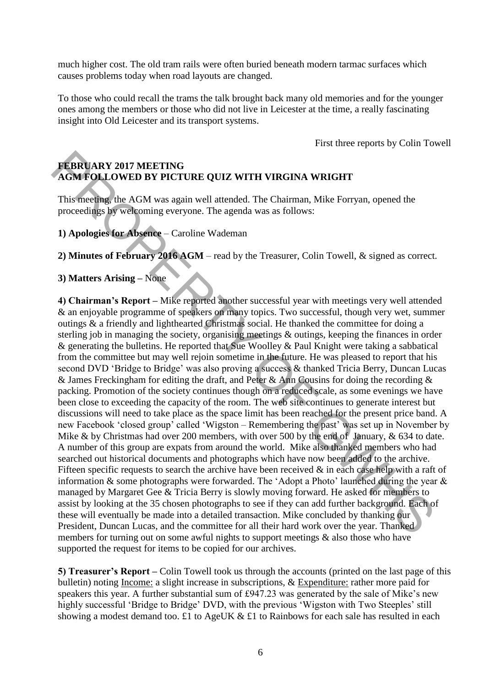much higher cost. The old tram rails were often buried beneath modern tarmac surfaces which causes problems today when road layouts are changed.

To those who could recall the trams the talk brought back many old memories and for the younger ones among the members or those who did not live in Leicester at the time, a really fascinating insight into Old Leicester and its transport systems.

First three reports by Colin Towell

# **FEBRUARY 2017 MEETING AGM FOLLOWED BY PICTURE QUIZ WITH VIRGINA WRIGHT**

This meeting, the AGM was again well attended. The Chairman, Mike Forryan, opened the proceedings by welcoming everyone. The agenda was as follows:

**1) Apologies for Absence** – Caroline Wademan

**2) Minutes of February 2016 AGM** – read by the Treasurer, Colin Towell, & signed as correct.

### **3) Matters Arising –** None

**4) Chairman's Report –** Mike reported another successful year with meetings very well attended & an enjoyable programme of speakers on many topics. Two successful, though very wet, summer outings & a friendly and lighthearted Christmas social. He thanked the committee for doing a sterling job in managing the society, organising meetings & outings, keeping the finances in order & generating the bulletins. He reported that Sue Woolley & Paul Knight were taking a sabbatical from the committee but may well rejoin sometime in the future. He was pleased to report that his second DVD 'Bridge to Bridge' was also proving a success & thanked Tricia Berry, Duncan Lucas & James Freckingham for editing the draft, and Peter & Ann Cousins for doing the recording & packing. Promotion of the society continues though on a reduced scale, as some evenings we have been close to exceeding the capacity of the room. The web site continues to generate interest but discussions will need to take place as the space limit has been reached for the present price band. A new Facebook 'closed group' called 'Wigston – Remembering the past' was set up in November by Mike & by Christmas had over 200 members, with over 500 by the end of January, & 634 to date. A number of this group are expats from around the world. Mike also thanked members who had searched out historical documents and photographs which have now been added to the archive. Fifteen specific requests to search the archive have been received  $\&$  in each case help with a raft of information & some photographs were forwarded. The 'Adopt a Photo' launched during the year & managed by Margaret Gee & Tricia Berry is slowly moving forward. He asked for members to assist by looking at the 35 chosen photographs to see if they can add further background. Each of these will eventually be made into a detailed transaction. Mike concluded by thanking our President, Duncan Lucas, and the committee for all their hard work over the year. Thanked members for turning out on some awful nights to support meetings & also those who have supported the request for items to be copied for our archives. **FEBRUARY 2017 MEETING**<br> **AGM FOLLOWED BY PICTURE QUIZ WITH VIRGINA WRIGHT**<br>
This meeting, the AGM was again well attended. The Chairman, Mike Forryan, opened the<br>
proceedings by welcoming everyone. The agenda was as foll

**5) Treasurer's Report –** Colin Towell took us through the accounts (printed on the last page of this bulletin) noting Income: a slight increase in subscriptions, & Expenditure: rather more paid for speakers this year. A further substantial sum of £947.23 was generated by the sale of Mike's new highly successful 'Bridge to Bridge' DVD, with the previous 'Wigston with Two Steeples' still showing a modest demand too. £1 to AgeUK & £1 to Rainbows for each sale has resulted in each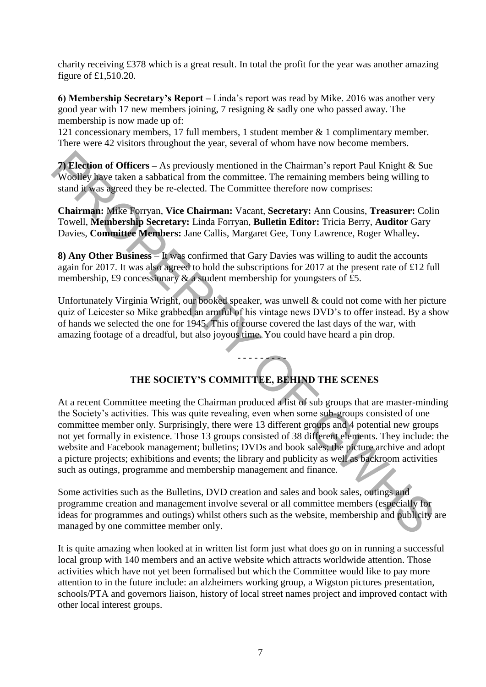charity receiving £378 which is a great result. In total the profit for the year was another amazing figure of £1,510.20.

**6) Membership Secretary's Report –** Linda's report was read by Mike. 2016 was another very good year with 17 new members joining, 7 resigning & sadly one who passed away. The membership is now made up of:

121 concessionary members, 17 full members, 1 student member & 1 complimentary member. There were 42 visitors throughout the year, several of whom have now become members.

**7) Election of Officers –** As previously mentioned in the Chairman's report Paul Knight & Sue Woolley have taken a sabbatical from the committee. The remaining members being willing to stand it was agreed they be re-elected. The Committee therefore now comprises:

**Chairman:** Mike Forryan, **Vice Chairman:** Vacant, **Secretary:** Ann Cousins, **Treasurer:** Colin Towell, **Membership Secretary:** Linda Forryan, **Bulletin Editor:** Tricia Berry, **Auditor** Gary Davies, **Committee Members:** Jane Callis, Margaret Gee, Tony Lawrence, Roger Whalley**.** 

**8) Any Other Business** – It was confirmed that Gary Davies was willing to audit the accounts again for 2017. It was also agreed to hold the subscriptions for 2017 at the present rate of £12 full membership, £9 concessionary  $\&$  a student membership for youngsters of £5.

Unfortunately Virginia Wright, our booked speaker, was unwell & could not come with her picture quiz of Leicester so Mike grabbed an armful of his vintage news DVD's to offer instead. By a show of hands we selected the one for 1945. This of course covered the last days of the war, with amazing footage of a dreadful, but also joyous time. You could have heard a pin drop.

# **THE SOCIETY'S COMMITTEE, BEHIND THE SCENES**

**- - - - - - - - -** 

At a recent Committee meeting the Chairman produced a list of sub groups that are master-minding the Society's activities. This was quite revealing, even when some sub-groups consisted of one committee member only. Surprisingly, there were 13 different groups and 4 potential new groups not yet formally in existence. Those 13 groups consisted of 38 different elements. They include: the website and Facebook management; bulletins; DVDs and book sales; the picture archive and adopt a picture projects; exhibitions and events; the library and publicity as well as backroom activities such as outings, programme and membership management and finance. **7) Election of Officers – As previously mentioned in the Chairman's report Paul Knight & Sue<br>Woolley have taken a subbattical from the committee. The remaining members being willing to<br>stand if was agreed they be re-elec** 

Some activities such as the Bulletins, DVD creation and sales and book sales, outings and programme creation and management involve several or all committee members (especially for ideas for programmes and outings) whilst others such as the website, membership and publicity are managed by one committee member only.

It is quite amazing when looked at in written list form just what does go on in running a successful local group with 140 members and an active website which attracts worldwide attention. Those activities which have not yet been formalised but which the Committee would like to pay more attention to in the future include: an alzheimers working group, a Wigston pictures presentation, schools/PTA and governors liaison, history of local street names project and improved contact with other local interest groups.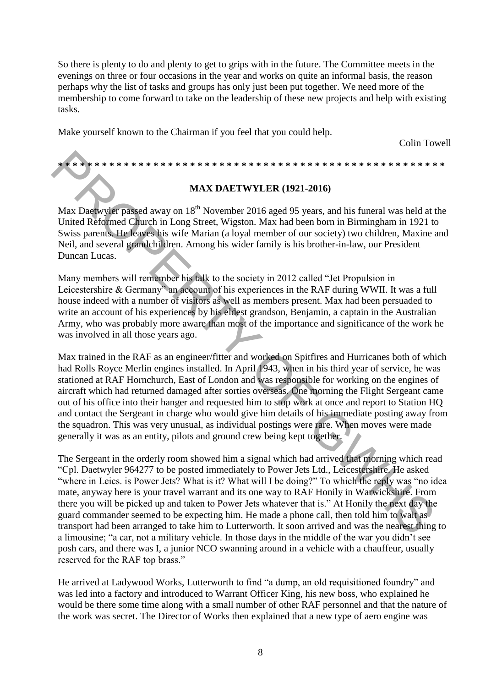So there is plenty to do and plenty to get to grips with in the future. The Committee meets in the evenings on three or four occasions in the year and works on quite an informal basis, the reason perhaps why the list of tasks and groups has only just been put together. We need more of the membership to come forward to take on the leadership of these new projects and help with existing tasks.

Make yourself known to the Chairman if you feel that you could help.

Colin Towell

**\* \* \* \* \* \* \* \* \* \* \* \* \* \* \* \* \* \* \* \* \* \* \* \* \* \* \* \* \* \* \* \* \* \* \* \* \* \* \* \* \* \* \* \* \* \* \* \* \* \* \* \* \*** 

#### **MAX DAETWYLER (1921-2016)**

Max Daetwyler passed away on 18<sup>th</sup> November 2016 aged 95 years, and his funeral was held at the United Reformed Church in Long Street, Wigston. Max had been born in Birmingham in 1921 to Swiss parents. He leaves his wife Marian (a loyal member of our society) two children, Maxine and Neil, and several grandchildren. Among his wider family is his brother-in-law, our President Duncan Lucas.

Many members will remember his talk to the society in 2012 called "Jet Propulsion in Leicestershire & Germany" an account of his experiences in the RAF during WWII. It was a full house indeed with a number of visitors as well as members present. Max had been persuaded to write an account of his experiences by his eldest grandson, Benjamin, a captain in the Australian Army, who was probably more aware than most of the importance and significance of the work he was involved in all those years ago.

Max trained in the RAF as an engineer/fitter and worked on Spitfires and Hurricanes both of which had Rolls Royce Merlin engines installed. In April 1943, when in his third year of service, he was stationed at RAF Hornchurch, East of London and was responsible for working on the engines of aircraft which had returned damaged after sorties overseas. One morning the Flight Sergeant came out of his office into their hanger and requested him to stop work at once and report to Station HQ and contact the Sergeant in charge who would give him details of his immediate posting away from the squadron. This was very unusual, as individual postings were rare. When moves were made generally it was as an entity, pilots and ground crew being kept together. **EXERCUTE THE SECTION THE SET AN AN INTERT (1921-2016)**<br>Max Datewyler pused away on 18<sup>th</sup> November 2016 aged 95 years, and his functed was held at United Reformed Church in Long Street, Wigston. Max had been born in Birm

The Sergeant in the orderly room showed him a signal which had arrived that morning which read "Cpl. Daetwyler 964277 to be posted immediately to Power Jets Ltd., Leicestershire. He asked "where in Leics. is Power Jets? What is it? What will I be doing?" To which the reply was "no idea mate, anyway here is your travel warrant and its one way to RAF Honily in Warwickshire. From there you will be picked up and taken to Power Jets whatever that is." At Honily the next day the guard commander seemed to be expecting him. He made a phone call, then told him to wait as transport had been arranged to take him to Lutterworth. It soon arrived and was the nearest thing to a limousine; "a car, not a military vehicle. In those days in the middle of the war you didn't see posh cars, and there was I, a junior NCO swanning around in a vehicle with a chauffeur, usually reserved for the RAF top brass."

He arrived at Ladywood Works, Lutterworth to find "a dump, an old requisitioned foundry" and was led into a factory and introduced to Warrant Officer King, his new boss, who explained he would be there some time along with a small number of other RAF personnel and that the nature of the work was secret. The Director of Works then explained that a new type of aero engine was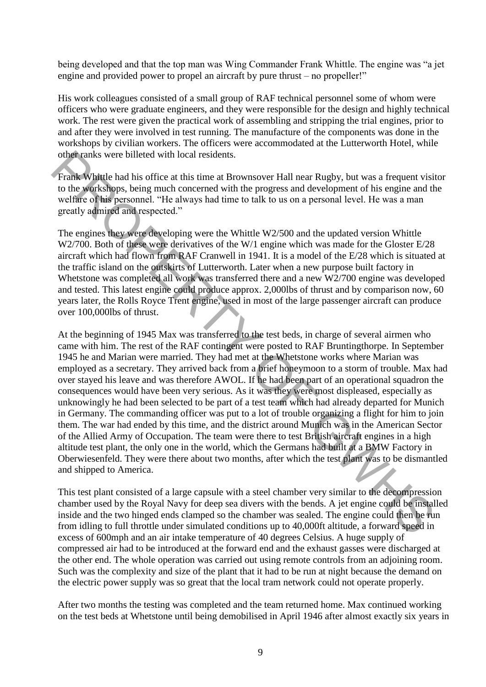being developed and that the top man was Wing Commander Frank Whittle. The engine was "a jet engine and provided power to propel an aircraft by pure thrust – no propeller!"

His work colleagues consisted of a small group of RAF technical personnel some of whom were officers who were graduate engineers, and they were responsible for the design and highly technical work. The rest were given the practical work of assembling and stripping the trial engines, prior to and after they were involved in test running. The manufacture of the components was done in the workshops by civilian workers. The officers were accommodated at the Lutterworth Hotel, while other ranks were billeted with local residents.

Frank Whittle had his office at this time at Brownsover Hall near Rugby, but was a frequent visitor to the workshops, being much concerned with the progress and development of his engine and the welfare of his personnel. "He always had time to talk to us on a personal level. He was a man greatly admired and respected."

The engines they were developing were the Whittle W2/500 and the updated version Whittle W2/700. Both of these were derivatives of the W/1 engine which was made for the Gloster E/28 aircraft which had flown from RAF Cranwell in 1941. It is a model of the E/28 which is situated at the traffic island on the outskirts of Lutterworth. Later when a new purpose built factory in Whetstone was completed all work was transferred there and a new W2/700 engine was developed and tested. This latest engine could produce approx. 2,000lbs of thrust and by comparison now, 60 years later, the Rolls Royce Trent engine, used in most of the large passenger aircraft can produce over 100,000lbs of thrust.

At the beginning of 1945 Max was transferred to the test beds, in charge of several airmen who came with him. The rest of the RAF contingent were posted to RAF Bruntingthorpe. In September 1945 he and Marian were married. They had met at the Whetstone works where Marian was employed as a secretary. They arrived back from a brief honeymoon to a storm of trouble. Max had over stayed his leave and was therefore AWOL. If he had been part of an operational squadron the consequences would have been very serious. As it was they were most displeased, especially as unknowingly he had been selected to be part of a test team which had already departed for Munich in Germany. The commanding officer was put to a lot of trouble organizing a flight for him to join them. The war had ended by this time, and the district around Munich was in the American Sector of the Allied Army of Occupation. The team were there to test British aircraft engines in a high altitude test plant, the only one in the world, which the Germans had built at a BMW Factory in Oberwiesenfeld. They were there about two months, after which the test plant was to be dismantled and shipped to America. other ranks were billeted with local residents.<br>
From Kwhitele had his office at this time at Brownsover Hall near Rugby, but was a frequent visit to the Sorahisty hitle had his office at this time at Brownsover Hall near

This test plant consisted of a large capsule with a steel chamber very similar to the decompression chamber used by the Royal Navy for deep sea divers with the bends. A jet engine could be installed inside and the two hinged ends clamped so the chamber was sealed. The engine could then be run from idling to full throttle under simulated conditions up to 40,000ft altitude, a forward speed in excess of 600mph and an air intake temperature of 40 degrees Celsius. A huge supply of compressed air had to be introduced at the forward end and the exhaust gasses were discharged at the other end. The whole operation was carried out using remote controls from an adjoining room. Such was the complexity and size of the plant that it had to be run at night because the demand on the electric power supply was so great that the local tram network could not operate properly.

After two months the testing was completed and the team returned home. Max continued working on the test beds at Whetstone until being demobilised in April 1946 after almost exactly six years in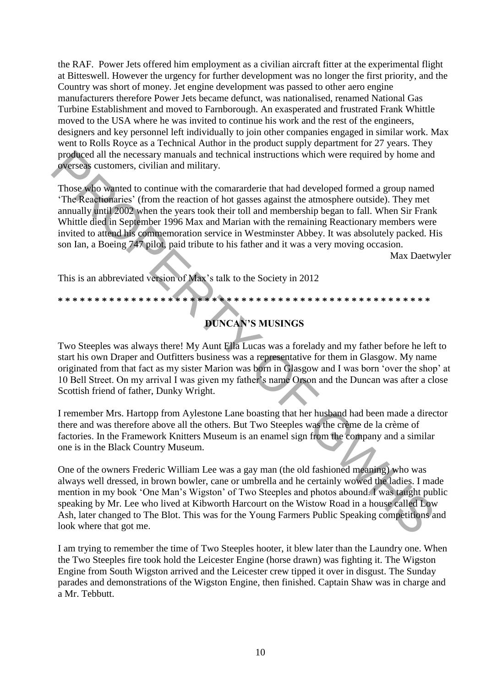the RAF. Power Jets offered him employment as a civilian aircraft fitter at the experimental flight at Bitteswell. However the urgency for further development was no longer the first priority, and the Country was short of money. Jet engine development was passed to other aero engine manufacturers therefore Power Jets became defunct, was nationalised, renamed National Gas Turbine Establishment and moved to Farnborough. An exasperated and frustrated Frank Whittle moved to the USA where he was invited to continue his work and the rest of the engineers, designers and key personnel left individually to join other companies engaged in similar work. Max went to Rolls Royce as a Technical Author in the product supply department for 27 years. They produced all the necessary manuals and technical instructions which were required by home and overseas customers, civilian and military.

Those who wanted to continue with the comararderie that had developed formed a group named 'The Reactionaries' (from the reaction of hot gasses against the atmosphere outside). They met annually until 2002 when the years took their toll and membership began to fall. When Sir Frank Whittle died in September 1996 Max and Marian with the remaining Reactionary members were invited to attend his commemoration service in Westminster Abbey. It was absolutely packed. His son Ian, a Boeing 747 pilot, paid tribute to his father and it was a very moving occasion. produced all the necessary manuals and technical instructions which were required by home und<br>
or expectation the continue with the conntrarctic that had developed formed a group named<br>
"Those subpositions" (from the reac

Max Daetwyler

This is an abbreviated version of Max's talk to the Society in 2012

# **DUNCAN'S MUSINGS**

**\* \* \* \* \* \* \* \* \* \* \* \* \* \* \* \* \* \* \* \* \* \* \* \* \* \* \* \* \* \* \* \* \* \* \* \* \* \* \* \* \* \* \* \* \* \* \* \* \* \* \*** 

Two Steeples was always there! My Aunt Ella Lucas was a forelady and my father before he left to start his own Draper and Outfitters business was a representative for them in Glasgow. My name originated from that fact as my sister Marion was born in Glasgow and I was born 'over the shop' at 10 Bell Street. On my arrival I was given my father's name Orson and the Duncan was after a close Scottish friend of father, Dunky Wright.

I remember Mrs. Hartopp from Aylestone Lane boasting that her husband had been made a director there and was therefore above all the others. But Two Steeples was the crème de la crème of factories. In the Framework Knitters Museum is an enamel sign from the company and a similar one is in the Black Country Museum.

One of the owners Frederic William Lee was a gay man (the old fashioned meaning) who was always well dressed, in brown bowler, cane or umbrella and he certainly wowed the ladies. I made mention in my book 'One Man's Wigston' of Two Steeples and photos abound. I was taught public speaking by Mr. Lee who lived at Kibworth Harcourt on the Wistow Road in a house called Low Ash, later changed to The Blot. This was for the Young Farmers Public Speaking competitions and look where that got me.

I am trying to remember the time of Two Steeples hooter, it blew later than the Laundry one. When the Two Steeples fire took hold the Leicester Engine (horse drawn) was fighting it. The Wigston Engine from South Wigston arrived and the Leicester crew tipped it over in disgust. The Sunday parades and demonstrations of the Wigston Engine, then finished. Captain Shaw was in charge and a Mr. Tebbutt.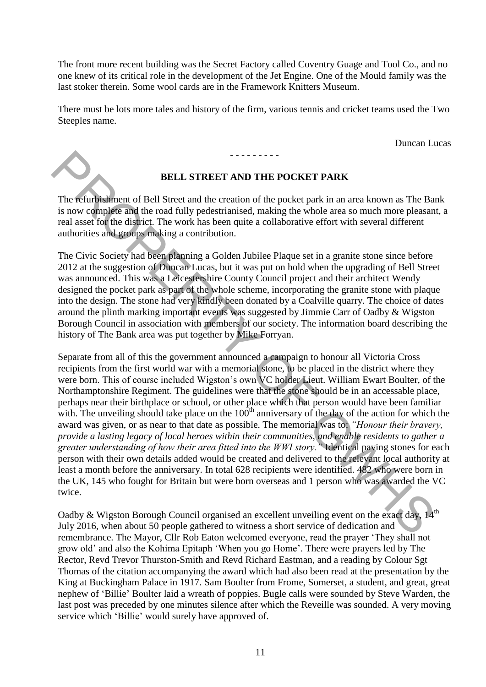The front more recent building was the Secret Factory called Coventry Guage and Tool Co., and no one knew of its critical role in the development of the Jet Engine. One of the Mould family was the last stoker therein. Some wool cards are in the Framework Knitters Museum.

There must be lots more tales and history of the firm, various tennis and cricket teams used the Two Steeples name.

Duncan Lucas



### **BELL STREET AND THE POCKET PARK**

**- - - - - - - - -** 

The refurbishment of Bell Street and the creation of the pocket park in an area known as The Bank is now complete and the road fully pedestrianised, making the whole area so much more pleasant, a real asset for the district. The work has been quite a collaborative effort with several different authorities and groups making a contribution.

The Civic Society had been planning a Golden Jubilee Plaque set in a granite stone since before 2012 at the suggestion of Duncan Lucas, but it was put on hold when the upgrading of Bell Street was announced. This was a Leicestershire County Council project and their architect Wendy designed the pocket park as part of the whole scheme, incorporating the granite stone with plaque into the design. The stone had very kindly been donated by a Coalville quarry. The choice of dates around the plinth marking important events was suggested by Jimmie Carr of Oadby & Wigston Borough Council in association with members of our society. The information board describing the history of The Bank area was put together by Mike Forryan.

Separate from all of this the government announced a campaign to honour all Victoria Cross recipients from the first world war with a memorial stone, to be placed in the district where they were born. This of course included Wigston's own VC holder Lieut. William Ewart Boulter, of the Northamptonshire Regiment. The guidelines were that the stone should be in an accessable place, perhaps near their birthplace or school, or other place which that person would have been familiar with. The unveiling should take place on the  $100<sup>th</sup>$  anniversary of the day of the action for which the award was given, or as near to that date as possible. The memorial was to: *"Honour their bravery, provide a lasting legacy of local heroes within their communities, and enable residents to gather a greater understanding of how their area fitted into the WWI story."* Identical paving stones for each person with their own details added would be created and delivered to the relevant local authority at least a month before the anniversary. In total 628 recipients were identified. 482 who were born in the UK, 145 who fought for Britain but were born overseas and 1 person who was awarded the VC twice. **EXECUTE: EXECUTE: EXECUTE: EXECUTE: EXECUTE: EXECUTE: EXECUTE: EXECUTE: EXECUTE: EXECUTE: EXECUTE: EXECUTE: EXECUTE: EXECUTE: EXECUTE: EXECUTE: EXECUTE: CONDISTINGT EXECUTE: CONDISTI** 

Oadby & Wigston Borough Council organised an excellent unveiling event on the exact day, 14<sup>th</sup> July 2016, when about 50 people gathered to witness a short service of dedication and remembrance. The Mayor, Cllr Rob Eaton welcomed everyone, read the prayer 'They shall not grow old' and also the Kohima Epitaph 'When you go Home'. There were prayers led by The Rector, Revd Trevor Thurston-Smith and Revd Richard Eastman, and a reading by Colour Sgt Thomas of the citation accompanying the award which had also been read at the presentation by the King at Buckingham Palace in 1917. Sam Boulter from Frome, Somerset, a student, and great, great nephew of 'Billie' Boulter laid a wreath of poppies. Bugle calls were sounded by Steve Warden, the last post was preceded by one minutes silence after which the Reveille was sounded. A very moving service which 'Billie' would surely have approved of.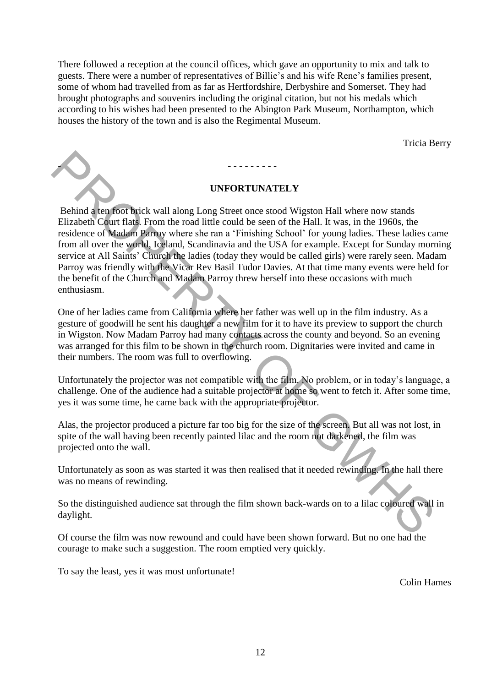There followed a reception at the council offices, which gave an opportunity to mix and talk to guests. There were a number of representatives of Billie's and his wife Rene's families present, some of whom had travelled from as far as Hertfordshire, Derbyshire and Somerset. They had brought photographs and souvenirs including the original citation, but not his medals which according to his wishes had been presented to the Abington Park Museum, Northampton, which houses the history of the town and is also the Regimental Museum.

Tricia Berry

#### **UNFORTUNATELY**

- **- - - - - - - - -** 

Behind a ten foot brick wall along Long Street once stood Wigston Hall where now stands Elizabeth Court flats. From the road little could be seen of the Hall. It was, in the 1960s, the residence of Madam Parroy where she ran a 'Finishing School' for young ladies. These ladies came from all over the world, Iceland, Scandinavia and the USA for example. Except for Sunday morning service at All Saints' Church the ladies (today they would be called girls) were rarely seen. Madam Parroy was friendly with the Vicar Rev Basil Tudor Davies. At that time many events were held for the benefit of the Church and Madam Parroy threw herself into these occasions with much enthusiasm. **Explicited weak to the state of the state of the state of the state of the state of the state of the state of the state of the state of the state of the state of the state of the state of the state of the state of the sta** 

One of her ladies came from California where her father was well up in the film industry. As a gesture of goodwill he sent his daughter a new film for it to have its preview to support the church in Wigston. Now Madam Parroy had many contacts across the county and beyond. So an evening was arranged for this film to be shown in the church room. Dignitaries were invited and came in their numbers. The room was full to overflowing.

Unfortunately the projector was not compatible with the film. No problem, or in today's language, a challenge. One of the audience had a suitable projector at home so went to fetch it. After some time, yes it was some time, he came back with the appropriate projector.

Alas, the projector produced a picture far too big for the size of the screen. But all was not lost, in spite of the wall having been recently painted lilac and the room not darkened, the film was projected onto the wall.

Unfortunately as soon as was started it was then realised that it needed rewinding. In the hall there was no means of rewinding.

So the distinguished audience sat through the film shown back-wards on to a lilac coloured wall in daylight.

Of course the film was now rewound and could have been shown forward. But no one had the courage to make such a suggestion. The room emptied very quickly.

To say the least, yes it was most unfortunate!

Colin Hames